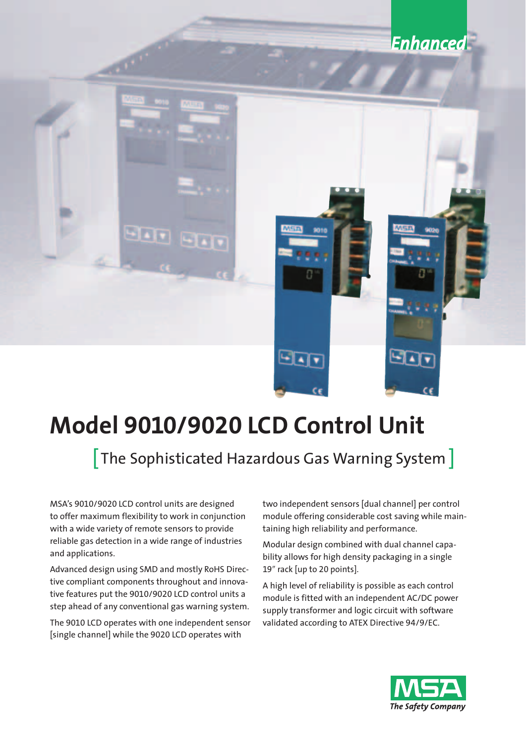# **Enhanced** 90 T  $\blacksquare$

# **Model 9010/9020 LCD Control Unit**

# [The Sophisticated Hazardous Gas Warning System ]

MSA's 9010/9020 LCD control units are designed to offer maximum flexibility to work in conjunction with a wide variety of remote sensors to provide reliable gas detection in a wide range of industries and applications.

Advanced design using SMD and mostly RoHS Directive compliant components throughout and innovative features put the 9010/9020 LCD control units a step ahead of any conventional gas warning system.

The 9010 LCD operates with one independent sensor [single channel] while the 9020 LCD operates with

two independent sensors [dual channel] per control module offering considerable cost saving while maintaining high reliability and performance.

Modular design combined with dual channel capability allows for high density packaging in a single 19" rack [up to 20 points].

A high level of reliability is possible as each control module is fitted with an independent AC/DC power supply transformer and logic circuit with software validated according to ATEX Directive 94/9/EC.

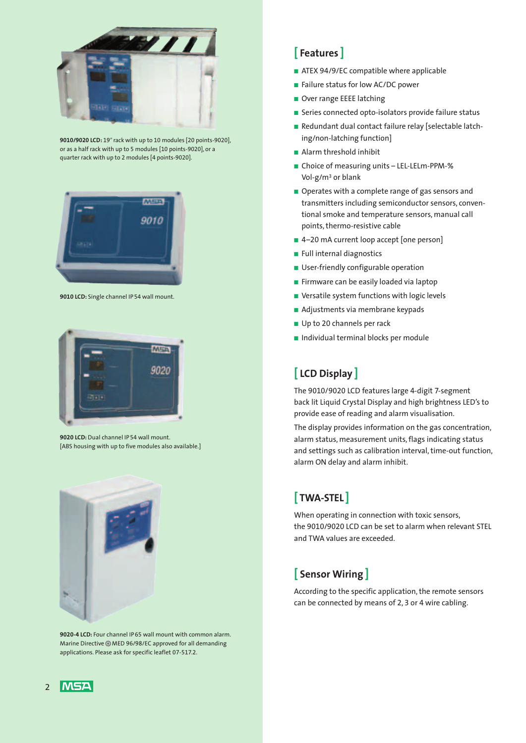

9010/9020 LCD: 19" rack with up to 10 modules [20 points-9020], or as a half rack with up to 5 modules [10 points-9020], or a quarter rack with up to 2 modules [4 points-9020].



**9010 LCD:** Single channel IP 54 wall mount.



**9020 LCD:** Dual channel IP 54 wall mount. [ABS housing with up to five modules also available.]



**9020-4 LCD:** Four channel IP 65 wall mount with common alarm. Marine Directive @ MED 96/98/EC approved for all demanding applications. Please ask for specific leaflet 07-517.2.

## **[ Features ]**

- ATEX 94/9/EC compatible where applicable
- Failure status for low AC/DC power
- Over range EEEE latching
- Series connected opto-isolators provide failure status
- Redundant dual contact failure relay [selectable latching/non-latching function]
- Alarm threshold inhibit
- Choice of measuring units LEL-LELm-PPM-% Vol-g/m3 or blank
- Operates with a complete range of gas sensors and transmitters including semiconductor sensors, conventional smoke and temperature sensors, manual call points, thermo-resistive cable
- 4-20 mA current loop accept [one person]
- Full internal diagnostics
- User-friendly configurable operation
- Firmware can be easily loaded via laptop
- Versatile system functions with logic levels
- Adjustments via membrane keypads
- Up to 20 channels per rack
- Individual terminal blocks per module

# **[ LCD Display ]**

The 9010/9020 LCD features large 4-digit 7-segment back lit Liquid Crystal Display and high brightness LED's to provide ease of reading and alarm visualisation.

The display provides information on the gas concentration, alarm status, measurement units, flags indicating status and settings such as calibration interval, time-out function, alarm ON delay and alarm inhibit.

# **[ TWA-STEL ]**

When operating in connection with toxic sensors, the 9010/9020 LCD can be set to alarm when relevant STEL and TWA values are exceeded.

# **[ Sensor Wiring ]**

According to the specific application, the remote sensors can be connected by means of 2, 3 or 4 wire cabling.

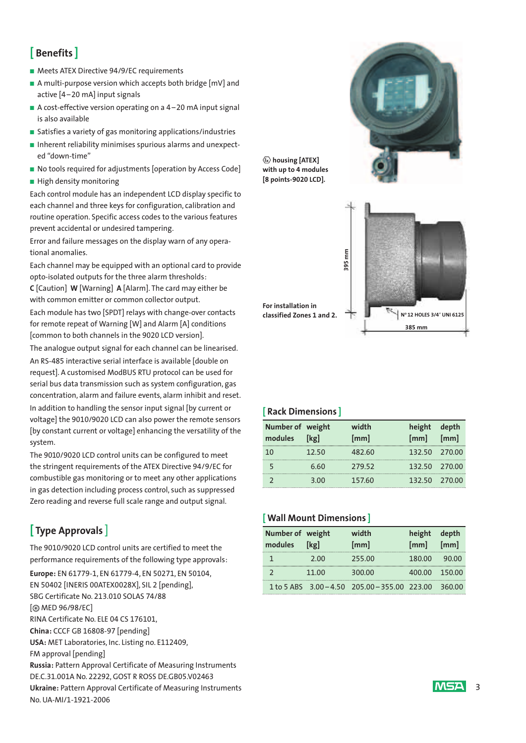# **[ Benefits ]**

- Meets ATEX Directive 94/9/EC requirements
- A multi-purpose version which accepts both bridge [mV] and active [4 –20 mA] input signals
- A cost-effective version operating on a 4-20 mA input signal is also available
- Satisfies a variety of gas monitoring applications/industries
- Inherent reliability minimises spurious alarms and unexpected "down-time"
- No tools required for adjustments [operation by Access Code]
- High density monitoring

Each control module has an independent LCD display specific to each channel and three keys for configuration, calibration and routine operation. Specific access codes to the various features prevent accidental or undesired tampering.

Error and failure messages on the display warn of any operational anomalies.

Each channel may be equipped with an optional card to provide opto-isolated outputs for the three alarm thresholds:

**C** [Caution] **W** [Warning] **A** [Alarm]. The card may either be with common emitter or common collector output.

Each module has two [SPDT] relays with change-over contacts for remote repeat of Warning [W] and Alarm [A] conditions [common to both channels in the 9020 LCD version].

The analogue output signal for each channel can be linearised.

An RS-485 interactive serial interface is available [double on request]. A customised ModBUS RTU protocol can be used for serial bus data transmission such as system configuration, gas concentration, alarm and failure events, alarm inhibit and reset. In addition to handling the sensor input signal [by current or voltage] the 9010/9020 LCD can also power the remote sensors [by constant current or voltage] enhancing the versatility of the system.

The 9010/9020 LCD control units can be configured to meet the stringent requirements of the ATEX Directive 94/9/EC for com bustible gas monitoring or to meet any other applications in gas detection including process control, such as suppressed Zero reading and reverse full scale range and output signal.

# **[ Type Approvals** ]

The 9010/9020 LCD control units are certified to meet the performance requirements of the following type approvals:

**Europe:** EN 61779-1, EN 61779-4, EN 50271, EN 50104, EN 50402 [INERIS 00ATEX0028X], SIL 2 [pending], SBG Certificate No. 213.010 SOLAS 74/88 [ MED 96/98/EC] RINA Certificate No. ELE 04 CS 176101, **China:** CCCF GB 16808-97 [pending] **USA:** MET Laboratories, Inc. Listing no. E112409, FM approval [pending] **Russia:** Pattern Approval Certificate of Measuring Instruments DE.C.31.001A No. 22292, GOST R ROSS DE.GB05.V02463 **Ukraine:** Pattern Approval Certificate of Measuring Instruments No. UA-MI/1-1921-2006



**with up to 4 modules [8 points-9020 LCD].**



#### **[ Rack Dimensions ]**

| Number of weight<br>modules | [kg]  | width<br>[mm] | height depth<br>[mm] | $\lceil$ mm $\rceil$ |
|-----------------------------|-------|---------------|----------------------|----------------------|
| 10                          | 12.50 | 482.60        | 132.50 270.00        |                      |
|                             | 6.60  | 279.52        | 132.50 270.00        |                      |
|                             | 3.00  | 157.60        | 132.50 270.00        |                      |

#### **[ Wall Mount Dimensions ]**

| Number of weight<br>modules | [kg]  | width<br>[mm]                                 | height depth<br>$[mm]$ $[mm]$ |               |
|-----------------------------|-------|-----------------------------------------------|-------------------------------|---------------|
|                             | 2.00  | 255.00                                        | 180.00                        | 90.00         |
|                             | 11.00 | 300.00                                        |                               | 400.00 150.00 |
|                             |       | 1 to 5 ABS 3.00 - 4.50 205.00 - 355.00 223.00 |                               | 360.00        |